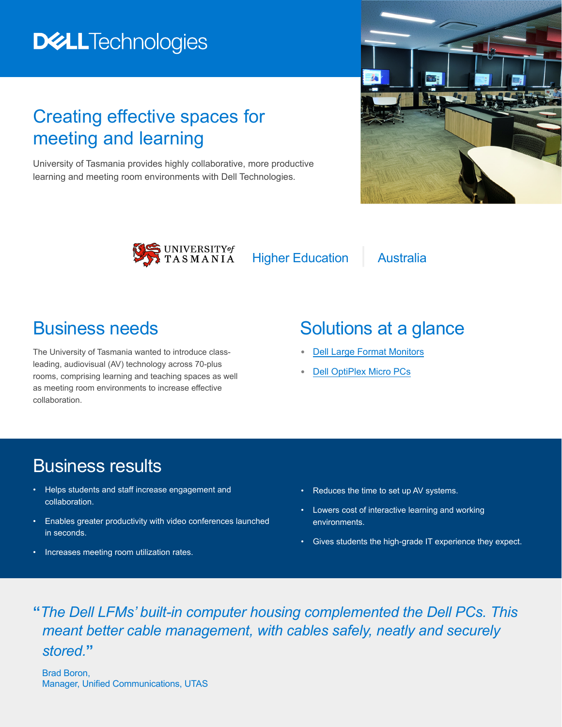# **DELLTechnologies**

### Creating effective spaces for meeting and learning

University of Tasmania provides highly collaborative, more productive learning and meeting room environments with Dell Technologies.





Higher Education | Australia

#### Business needs

The University of Tasmania wanted to introduce classleading, audiovisual (AV) technology across 70-plus rooms, comprising learning and teaching spaces as well as meeting room environments to increase effective collaboration.

# Solutions at a glance

- **•** [Dell Large Format Monitors](https://www.delltechnologies.com/en-us/monitors-for-work/large-format-monitors.htm)
- **•** [Dell OptiPlex Micro PCs](https://www.delltechnologies.com/en-us/optiplex/index.htm)

#### Business results

- Helps students and staff increase engagement and collaboration.
- Enables greater productivity with video conferences launched in seconds.
- Increases meeting room utilization rates.
- Reduces the time to set up AV systems.
- Lowers cost of interactive learning and working environments.
- Gives students the high-grade IT experience they expect.

**"***The Dell LFMs' built-in computer housing complemented the Dell PCs. This meant better cable management, with cables safely, neatly and securely stored.***"**

Brad Boron, Manager, Unified Communications, UTAS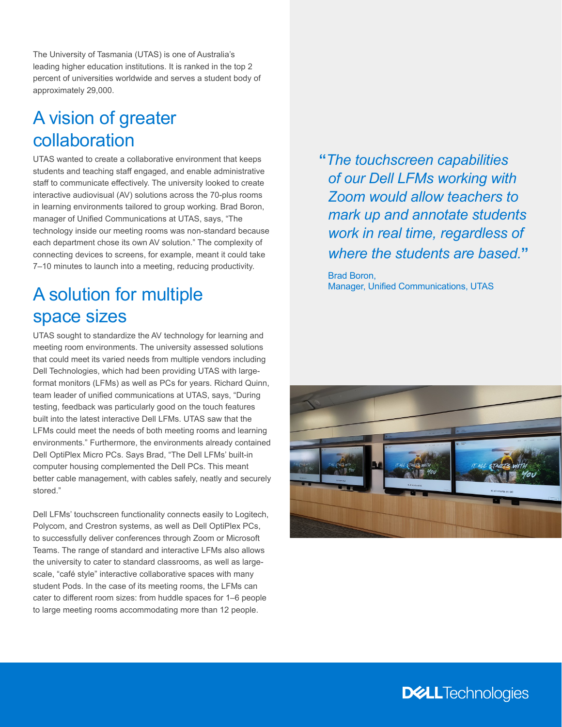The University of Tasmania (UTAS) is one of Australia's leading higher education institutions. It is ranked in the top 2 percent of universities worldwide and serves a student body of approximately 29,000.

#### A vision of greater collaboration

UTAS wanted to create a collaborative environment that keeps students and teaching staff engaged, and enable administrative staff to communicate effectively. The university looked to create interactive audiovisual (AV) solutions across the 70-plus rooms in learning environments tailored to group working. Brad Boron, manager of Unified Communications at UTAS, says, "The technology inside our meeting rooms was non-standard because each department chose its own AV solution." The complexity of connecting devices to screens, for example, meant it could take 7–10 minutes to launch into a meeting, reducing productivity.

#### A solution for multiple space sizes

UTAS sought to standardize the AV technology for learning and meeting room environments. The university assessed solutions that could meet its varied needs from multiple vendors including Dell Technologies, which had been providing UTAS with largeformat monitors (LFMs) as well as PCs for years. Richard Quinn, team leader of unified communications at UTAS, says, "During testing, feedback was particularly good on the touch features built into the latest interactive Dell LFMs. UTAS saw that the LFMs could meet the needs of both meeting rooms and learning environments." Furthermore, the environments already contained Dell OptiPlex Micro PCs. Says Brad, "The Dell LFMs' built-in computer housing complemented the Dell PCs. This meant better cable management, with cables safely, neatly and securely stored."

Dell LFMs' touchscreen functionality connects easily to Logitech, Polycom, and Crestron systems, as well as Dell OptiPlex PCs, to successfully deliver conferences through Zoom or Microsoft Teams. The range of standard and interactive LFMs also allows the university to cater to standard classrooms, as well as largescale, "café style" interactive collaborative spaces with many student Pods. In the case of its meeting rooms, the LFMs can cater to different room sizes: from huddle spaces for 1–6 people to large meeting rooms accommodating more than 12 people.

**"***The touchscreen capabilities of our Dell LFMs working with Zoom would allow teachers to mark up and annotate students work in real time, regardless of where the students are based.***"**

Brad Boron, Manager, Unified Communications, UTAS